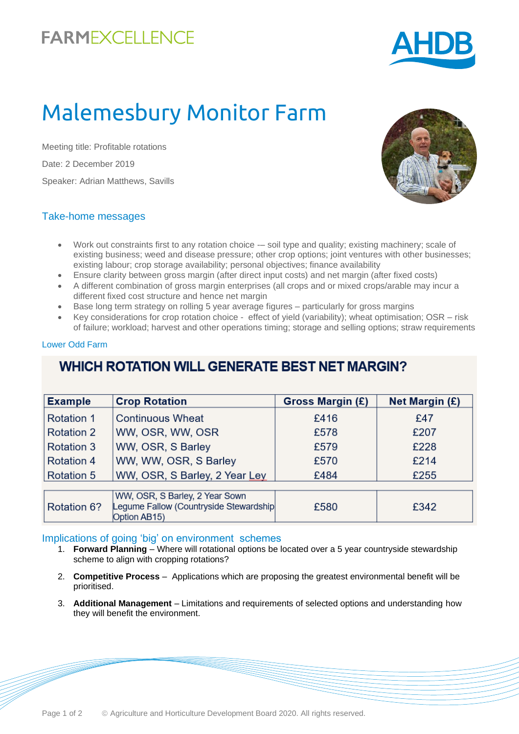## **FARMEXCELLENCE**



# Malemesbury Monitor Farm

Meeting title: Profitable rotations Date: 2 December 2019 Speaker: Adrian Matthews, Savills



#### Take-home messages

- Work out constraints first to any rotation choice -- soil type and quality; existing machinery; scale of existing business; weed and disease pressure; other crop options; joint ventures with other businesses; existing labour; crop storage availability; personal objectives; finance availability
- Ensure clarity between gross margin (after direct input costs) and net margin (after fixed costs)
- A different combination of gross margin enterprises (all crops and or mixed crops/arable may incur a different fixed cost structure and hence net margin
- Base long term strategy on rolling 5 year average figures particularly for gross margins
- Key considerations for crop rotation choice effect of yield (variability); wheat optimisation; OSR risk of failure; workload; harvest and other operations timing; storage and selling options; straw requirements

#### Lower Odd Farm

### **WHICH ROTATION WILL GENERATE BEST NET MARGIN?**

| <b>Example</b>    | <b>Crop Rotation</b>                                                                     | Gross Margin (£) | <b>Net Margin (£)</b> |
|-------------------|------------------------------------------------------------------------------------------|------------------|-----------------------|
| <b>Rotation 1</b> | <b>Continuous Wheat</b>                                                                  | £416             | £47                   |
| <b>Rotation 2</b> | WW, OSR, WW, OSR                                                                         | £578             | £207                  |
| <b>Rotation 3</b> | WW, OSR, S Barley                                                                        | £579             | £228                  |
| <b>Rotation 4</b> | WW, WW, OSR, S Barley                                                                    | £570             | £214                  |
| <b>Rotation 5</b> | WW, OSR, S Barley, 2 Year Ley                                                            | £484             | £255                  |
|                   |                                                                                          |                  |                       |
| Rotation 6?       | WW, OSR, S Barley, 2 Year Sown<br>Legume Fallow (Countryside Stewardship<br>Option AB15) | £580             | £342                  |

#### Implications of going 'big' on environment schemes

- 1. **Forward Planning**  Where will rotational options be located over a 5 year countryside stewardship scheme to align with cropping rotations?
- 2. **Competitive Process**  Applications which are proposing the greatest environmental benefit will be prioritised.
- 3. **Additional Management**  Limitations and requirements of selected options and understanding how they will benefit the environment.